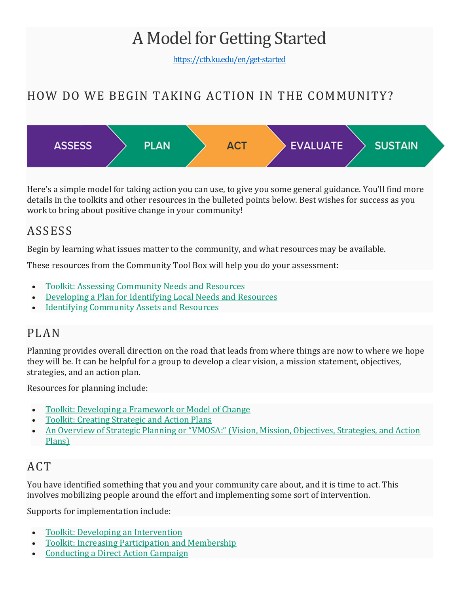# A Model for Getting Started

<https://ctb.ku.edu/en/get-started>

# HOW DO WE BEGIN TAKING ACTION IN THE COMMUNITY?



Here's a simple model for taking action you can use, to give you some general guidance. You'll find more details in the toolkits and other resources in the bulleted points below. Best wishes for success as you work to bring about positive change in your community!

## ASSESS

Begin by learning what issues matter to the community, and what resources may be available.

These resources from the Community Tool Box will help you do your assessment:

- [Toolkit: Assessing Community Needs and Resources](https://ctb.ku.edu/node/3805)
- [Developing a Plan for Identifying Local Needs and Resources](https://ctb.ku.edu/en/node/118)
- [Identifying Community Assets and Resources](https://ctb.ku.edu/en/node/150)

#### PLAN

Planning provides overall direction on the road that leads from where things are now to where we hope they will be. It can be helpful for a group to develop a clear vision, a mission statement, objectives, strategies, and an action plan.

Resources for planning include:

- [Toolkit: Developing a Framework or Model of Change](https://ctb.ku.edu/en/node/3807)
- [Toolkit: Creating Strategic and Action Plans](https://ctb.ku.edu/en/node/3808)
- [An Overview of Strategic Planning or "VMOSA:" \(Vision, Mission, Objectives, Strategies, and Action](https://ctb.ku.edu/en/node/382)  [Plans\)](https://ctb.ku.edu/en/node/382)

## ACT

You have identified something that you and your community care about, and it is time to act. This involves mobilizing people around the effort and implementing some sort of intervention.

Supports for implementation include:

- [Toolkit: Developing an Intervention](https://ctb.ku.edu/en/node/3810)
- [Toolkit: Increasing Participation and Membership](https://ctb.ku.edu/en/node/3811)
- [Conducting a Direct Action Campaign](https://ctb.ku.edu/en/node/1093)